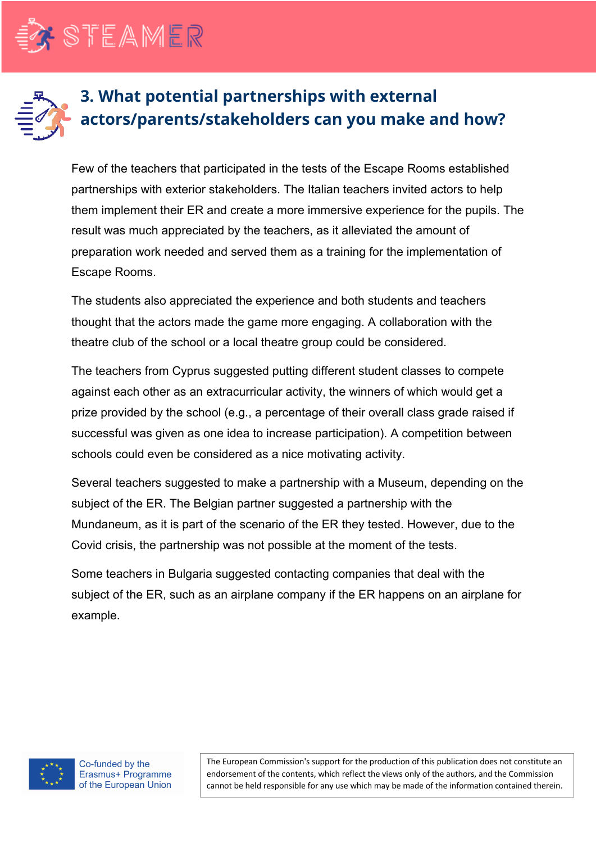

STEAMER

## **3. What potential partnerships with external actors/parents/stakeholders can you make and how?**

Few of the teachers that participated in the tests of the Escape Rooms established partnerships with exterior stakeholders. The Italian teachers invited actors to help them implement their ER and create a more immersive experience for the pupils. The result was much appreciated by the teachers, as it alleviated the amount of preparation work needed and served them as a training for the implementation of Escape Rooms.

The students also appreciated the experience and both students and teachers thought that the actors made the game more engaging. A collaboration with the theatre club of the school or a local theatre group could be considered.

The teachers from Cyprus suggested putting different student classes to compete against each other as an extracurricular activity, the winners of which would get a prize provided by the school (e.g., a percentage of their overall class grade raised if successful was given as one idea to increase participation). A competition between schools could even be considered as a nice motivating activity.

Several teachers suggested to make a partnership with a Museum, depending on the subject of the ER. The Belgian partner suggested a partnership with the Mundaneum, as it is part of the scenario of the ER they tested. However, due to the Covid crisis, the partnership was not possible at the moment of the tests.

Some teachers in Bulgaria suggested contacting companies that deal with the subject of the ER, such as an airplane company if the ER happens on an airplane for example.



Co-funded by the Erasmus+ Programme of the European Union

The European Commission's support for the production of this publication does not constitute an endorsement of the contents, which reflect the views only of the authors, and the Commission cannot be held responsible for any use which may be made of the information contained therein.